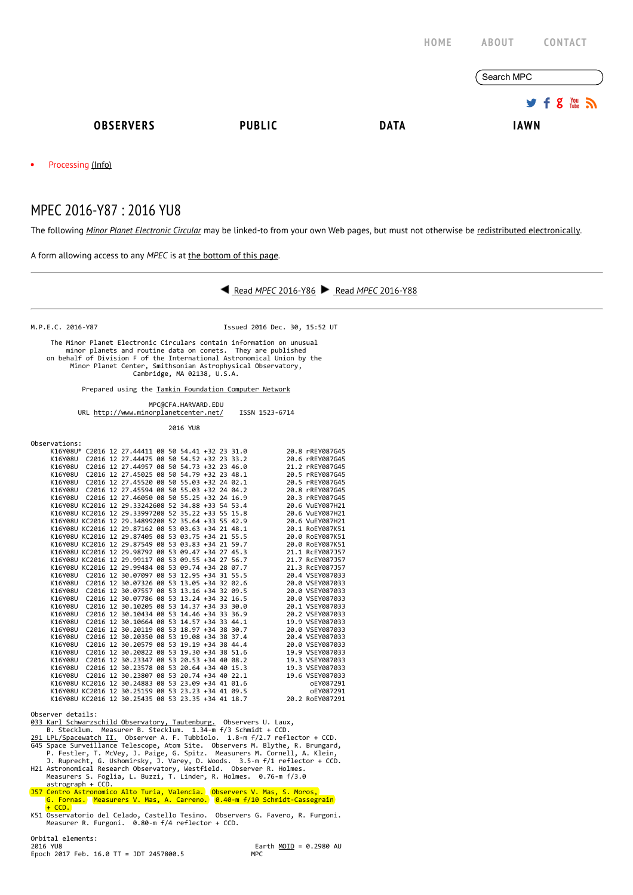|                         |               | <b>HOME</b> | <b>ABOUT</b><br><b>CONTACT</b>            |  |  |
|-------------------------|---------------|-------------|-------------------------------------------|--|--|
|                         |               |             | Search MPC                                |  |  |
|                         |               |             | $9.5$ $\frac{100}{100}$ $\frac{100}{100}$ |  |  |
| <b>OBSERVERS</b>        | <b>PUBLIC</b> | <b>DATA</b> | <b>IAWN</b>                               |  |  |
| Processing (Info)<br>٠  |               |             |                                           |  |  |
| MPEC 2016-Y87: 2016 YU8 |               |             |                                           |  |  |

The following Minor Planet [Electronic](http://www.minorplanetcenter.net/iau/services/MPEC.html) Circular may be linked-to from your own Web pages, but must not otherwise be redistributed [electronically](http://www.minorplanetcenter.net/iau/WWWPolicy.html).

A form allowing access to any MPEC is at the [bottom](http://www.minorplanetcenter.net/mpec/K16/K16Y87.html#form) of this page.



J57 Centro Astronomico Alto Turia, Valencia. Observers V. Mas, S. Moros, G. Fornas. Measurers V. Mas, A. Carreno. 0.40‐m f/10 Schmidt‐Cassegrain

+ CCD. K51 Osservatorio del Celado, Castello Tesino. Observers G. Favero, R. Furgoni. Measurer R. Furgoni. 0.80‐m f/4 reflector + CCD.

Orbital elements:<br>2016 YU8 Epoch 2017 Feb. 16.0 TT = JDT 2457800.5